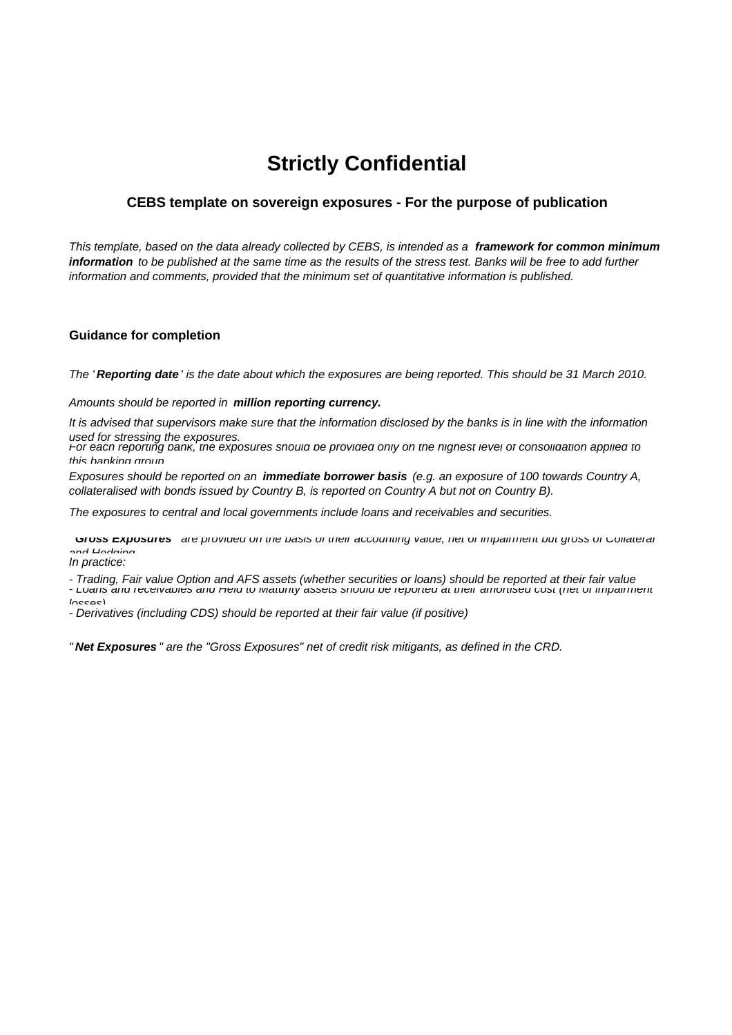## **Strictly Confidential**

## **CEBS template on sovereign exposures - For the purpose of publication**

*This template, based on the data already collected by CEBS, is intended as a framework for common minimum information to be published at the same time as the results of the stress test. Banks will be free to add further information and comments, provided that the minimum set of quantitative information is published.*

## **Guidance for completion**

*The ' Reporting date ' is the date about which the exposures are being reported. This should be 31 March 2010.* 

*Amounts should be reported in million reporting currency.*

*It is advised that supervisors make sure that the information disclosed by the banks is in line with the information* 

*used for stressing the exposures. For each reporting bank, the exposures should be provided only on the highest level of consolidation applied to this banking group*

*Exposures should be reported on an immediate borrower basis (e.g. an exposure of 100 towards Country A, collateralised with bonds issued by Country B, is reported on Country A but not on Country B).*

*The exposures to central and local governments include loans and receivables and securities.*

Gross Exposures are provided on the basis of their accounting value, net or impairment but gross of Collaterar *and Hedging*

*In practice:*

*- Trading, Fair value Option and AFS assets (whether securities or loans) should be reported at their fair value*

- Loans and receivables and rield to Maturity assets should be reported at their amonised cost (net or impairment

*losses)*

*- Derivatives (including CDS) should be reported at their fair value (if positive)*

*" Net Exposures " are the "Gross Exposures" net of credit risk mitigants, as defined in the CRD.*